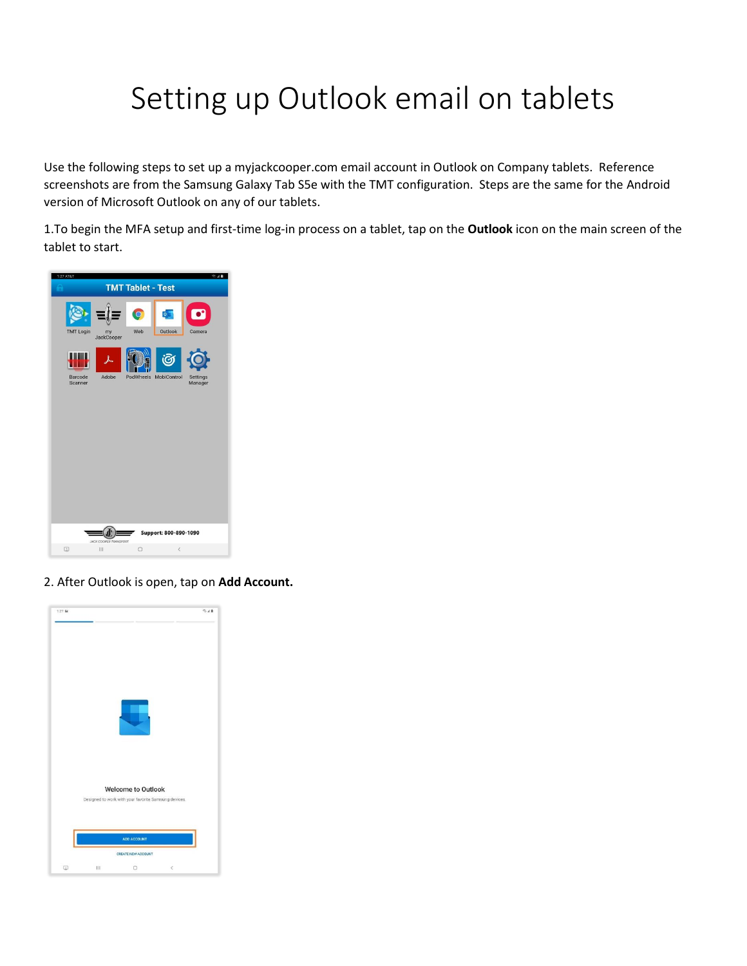## Setting up Outlook email on tablets

Use the following steps to set up a myjackcooper.com email account in Outlook on Company tablets. Reference screenshots are from the Samsung Galaxy Tab S5e with the TMT configuration. Steps are the same for the Android version of Microsoft Outlook on any of our tablets.

1.To begin the MFA setup and first-time log-in process on a tablet, tap on the **Outlook** icon on the main screen of the tablet to start.



2. After Outlook is open, tap on **Add Account.**

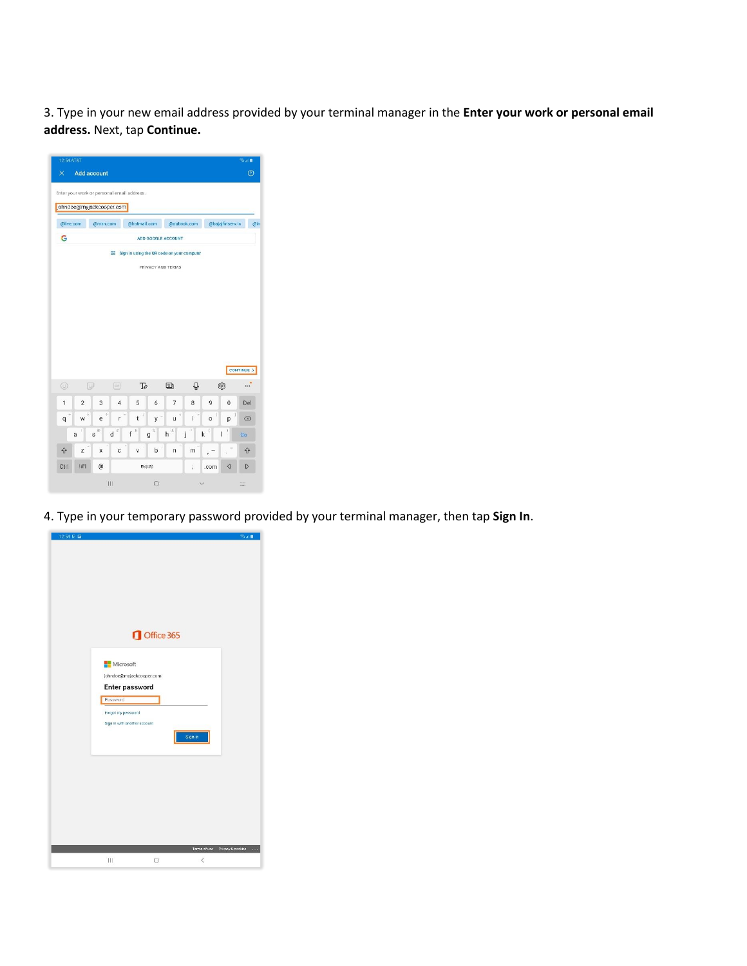3. Type in your new email address provided by your terminal manager in the **Enter your work or personal email address.** Next, tap **Continue.**

|                |                | Add account              | Enter your work or personal email address. |                    |                 |        |                |                  | $\circledcirc$ |
|----------------|----------------|--------------------------|--------------------------------------------|--------------------|-----------------|--------|----------------|------------------|----------------|
|                |                | johndoe@myjackcooper.com |                                            |                    |                 |        |                |                  |                |
| @live.com      |                | @msn.com                 |                                            | @hotmail.com       | @outlook.com    |        |                | @bajajfinserv.in | @in            |
| G              |                |                          |                                            | ADD GOOGLE ACCOUNT |                 |        |                |                  |                |
|                |                | 驟                        | Sign in using the QR code on your computer |                    |                 |        |                |                  |                |
|                |                |                          |                                            | PRIVACY AND TERMS  |                 |        |                |                  |                |
|                |                |                          |                                            |                    |                 |        |                |                  |                |
|                |                |                          |                                            |                    |                 |        |                |                  |                |
|                |                |                          |                                            |                    |                 |        |                |                  |                |
|                |                |                          |                                            |                    |                 |        |                |                  |                |
|                |                |                          |                                            |                    |                 |        |                |                  |                |
|                |                |                          |                                            |                    |                 |        |                |                  |                |
|                |                |                          |                                            |                    |                 |        |                |                  |                |
|                |                |                          |                                            |                    |                 |        |                |                  |                |
|                |                |                          |                                            |                    |                 |        |                |                  |                |
|                |                |                          |                                            |                    |                 |        |                |                  | CONTINUE >     |
| $\odot$        | Q              |                          | a.                                         | $\mathbb{Z}$       | 四               | O      |                | ක                |                |
| 1              | $\overline{2}$ | 3                        | $\overline{\mathbf{4}}$<br>5               | 6                  | 7               | 8      | $\overline{9}$ | $\bf{0}$         | Del            |
| $\overline{q}$ | W              | e                        | t<br>r                                     | l<br>y             | u               | Ĺ      | 1<br>$\circ$   | p                | $\sqrt{x}$     |
|                |                | $\langle \rangle$        | $\,$ $\,$                                  | $\%$               | $\mathcal{E}_t$ |        | ¢              | y                |                |
|                | s<br>a         | $d^{\#}$                 | f                                          | g                  | h               | k<br>j | I              |                  | Go             |
| €              | z              | $\overline{\mathsf{x}}$  | c<br>V                                     | b                  | n               | m      | j,             |                  | 6              |
| Ctrl           | !#1            | @                        |                                            | EN(US)             |                 | ;      | .com           | ◁                | <sup>1</sup>   |

4. Type in your temporary password provided by your terminal manager, then tap **Sign In**.

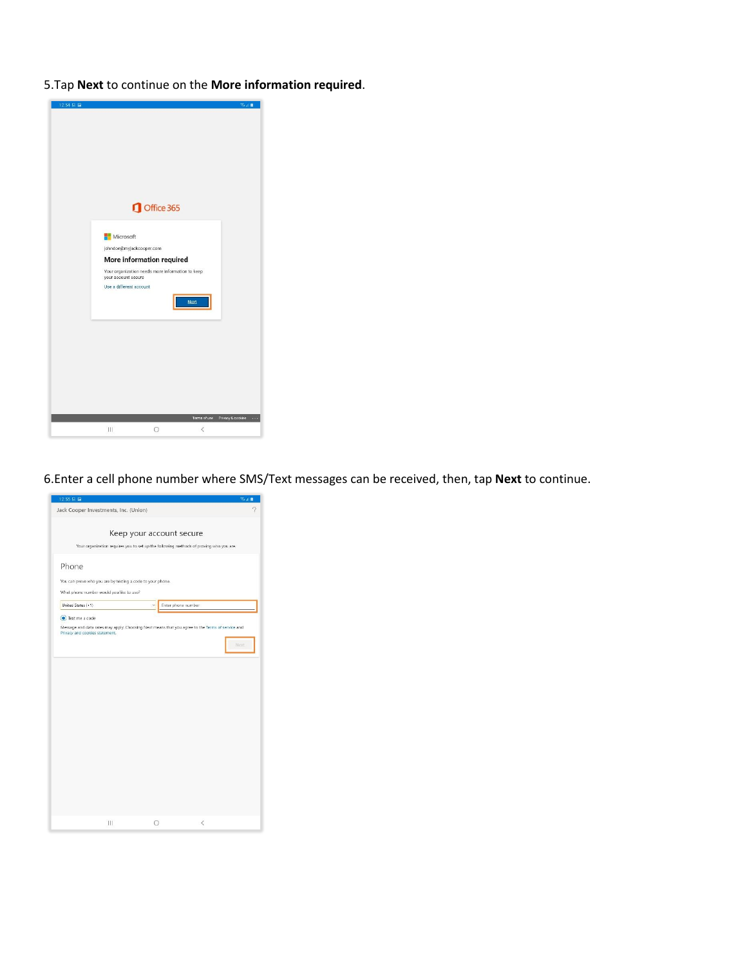5.Tap **Next** to continue on the **More information required**.



6.Enter a cell phone number where SMS/Text messages can be received, then, tap **Next** to continue.

|                                |                                                            | Keep your account secure                                                                         |      |
|--------------------------------|------------------------------------------------------------|--------------------------------------------------------------------------------------------------|------|
|                                |                                                            | Your organization requires you to set up the following methods of proving who you are.           |      |
| Phone                          |                                                            |                                                                                                  |      |
|                                | You can prove who you are by texting a code to your phone. |                                                                                                  |      |
|                                | What phone number would you like to use?                   |                                                                                                  |      |
| United States (+1)             |                                                            | Enter phone number<br>$\overline{\phantom{a}}$                                                   |      |
| Text me a code                 |                                                            |                                                                                                  |      |
| Privacy and cookies statement. |                                                            | Message and data rates may apply. Choosing Next means that you agree to the Terms of service and |      |
|                                |                                                            |                                                                                                  |      |
|                                |                                                            |                                                                                                  |      |
|                                |                                                            |                                                                                                  | Next |
|                                |                                                            |                                                                                                  |      |
|                                |                                                            |                                                                                                  |      |
|                                |                                                            |                                                                                                  |      |
|                                |                                                            |                                                                                                  |      |
|                                |                                                            |                                                                                                  |      |
|                                |                                                            |                                                                                                  |      |
|                                |                                                            |                                                                                                  |      |
|                                |                                                            |                                                                                                  |      |
|                                |                                                            |                                                                                                  |      |
|                                |                                                            |                                                                                                  |      |
|                                |                                                            |                                                                                                  |      |
|                                |                                                            |                                                                                                  |      |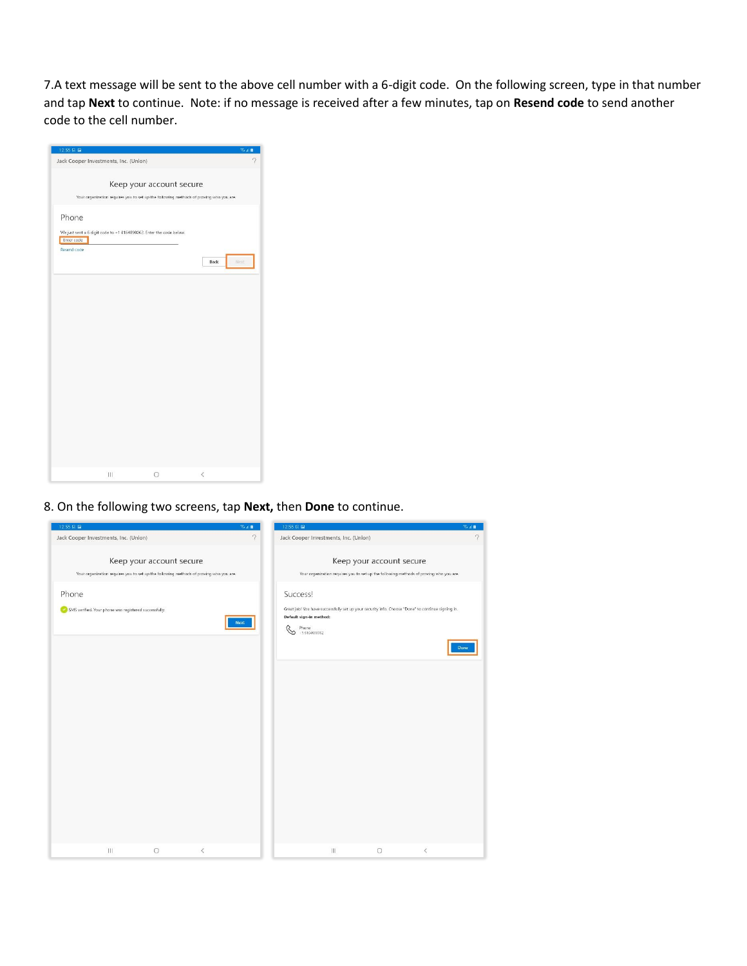7.A text message will be sent to the above cell number with a 6-digit code. On the following screen, type in that number and tap **Next** to continue. Note: if no message is received after a few minutes, tap on **Resend code** to send another code to the cell number.



8. On the following two screens, tap **Next,** then **Done** to continue.

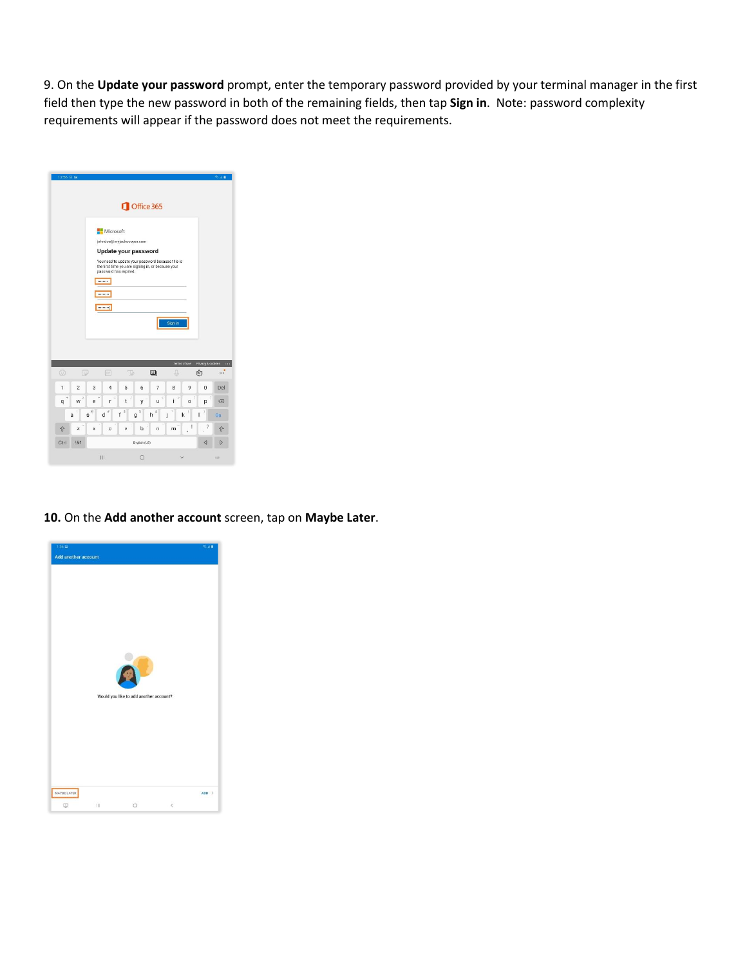9. On the **Update your password** prompt, enter the temporary password provided by your terminal manager in the first field then type the new password in both of the remaining fields, then tap **Sign in**. Note: password complexity requirements will appear if the password does not meet the requirements.

|                | 12:56 区        |                |                                       |                                                   |                                                                                                                                |              |              |                   | 8.41                         |
|----------------|----------------|----------------|---------------------------------------|---------------------------------------------------|--------------------------------------------------------------------------------------------------------------------------------|--------------|--------------|-------------------|------------------------------|
|                |                |                |                                       |                                                   | Office 365                                                                                                                     |              |              |                   |                              |
|                |                |                | Microsoft<br><br><br><b>Bookstone</b> | johndoe@myjackcooper.com<br>password has expired. | Update your password<br>You need to update your password because this is<br>the first time you are signing in, or because your |              |              |                   |                              |
|                |                |                |                                       |                                                   |                                                                                                                                | Sign in      |              |                   |                              |
|                |                |                |                                       |                                                   |                                                                                                                                | Terms of use |              | Privacy & cookies |                              |
| $\odot$        | Q              |                | (cir)                                 | To                                                | 回                                                                                                                              |              |              | ලා                | $\cdots$                     |
| 1              | $\overline{c}$ | $\overline{3}$ | $\overline{4}$                        | 5                                                 | $\overline{7}$<br>6                                                                                                            | 8            | $\mathbf{Q}$ | $\theta$          | Del                          |
| $\overline{q}$ | w              | t<br>ė         | ï<br>ř                                | t                                                 | y<br>u                                                                                                                         | ×<br>í       | $\circ$      | p                 | $\left( \frac{x}{x} \right)$ |
|                | a              | ø<br>S         | ¥<br>d                                | \$<br>f<br>g                                      | S)<br>ŝ<br>h                                                                                                                   | ÿ<br>j<br>k  | X            | )<br>ı            | Go                           |
| <b>介</b>       | z              | x              | c                                     | v                                                 | b<br>n                                                                                                                         | m            | I<br>ï       | ?<br>į            |                              |
| Ctrl           | #1             |                |                                       |                                                   | English (US)                                                                                                                   |              |              | ◁                 | D                            |

## **10.** On the **Add another account** screen, tap on **Maybe Later**.